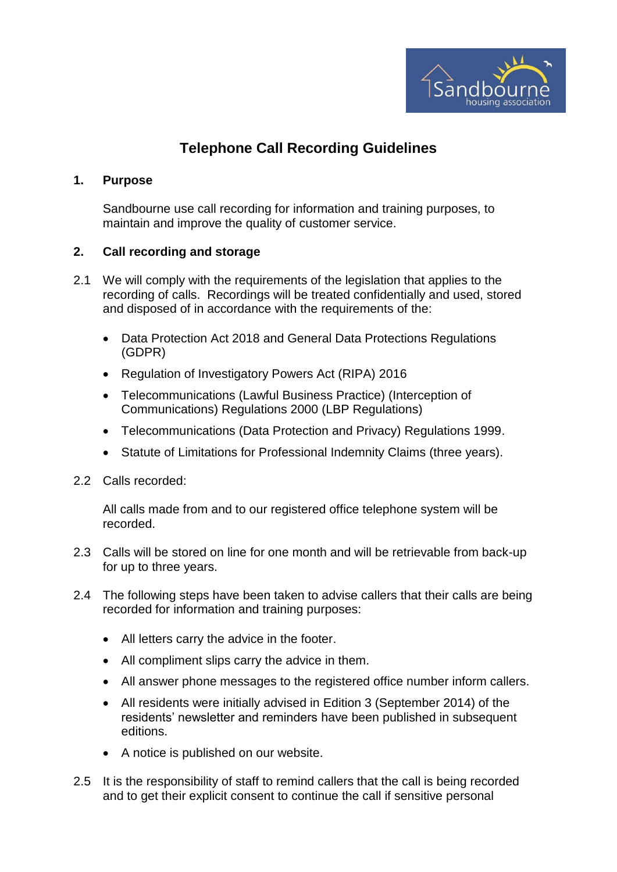

## **Telephone Call Recording Guidelines**

## **1. Purpose**

Sandbourne use call recording for information and training purposes, to maintain and improve the quality of customer service.

## **2. Call recording and storage**

- 2.1 We will comply with the requirements of the legislation that applies to the recording of calls. Recordings will be treated confidentially and used, stored and disposed of in accordance with the requirements of the:
	- Data Protection Act 2018 and General Data Protections Regulations (GDPR)
	- Regulation of Investigatory Powers Act (RIPA) 2016
	- Telecommunications (Lawful Business Practice) (Interception of Communications) Regulations 2000 (LBP Regulations)
	- Telecommunications (Data Protection and Privacy) Regulations 1999.
	- Statute of Limitations for Professional Indemnity Claims (three years).
- 2.2 Calls recorded:

All calls made from and to our registered office telephone system will be recorded.

- 2.3 Calls will be stored on line for one month and will be retrievable from back-up for up to three years.
- 2.4 The following steps have been taken to advise callers that their calls are being recorded for information and training purposes:
	- All letters carry the advice in the footer.
	- All compliment slips carry the advice in them.
	- All answer phone messages to the registered office number inform callers.
	- All residents were initially advised in Edition 3 (September 2014) of the residents' newsletter and reminders have been published in subsequent editions.
	- A notice is published on our website.
- 2.5 It is the responsibility of staff to remind callers that the call is being recorded and to get their explicit consent to continue the call if sensitive personal